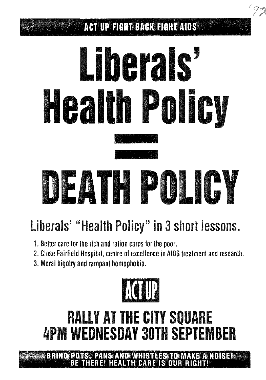#### **ACT UP FIGHT BACK FIGHT AIDS**

# Liberals' **Health Policy** DEATH POLICY

## Liberals' "Health Policy" in 3 short lessons.

- 1. Better care for the rich and ration cards for the poor.
- 2. Close Fairfield Hospital, centre of excellence in AIDS treatment and research.
- 3. Moral bigotry and rampant homophobia.



## **RALLY AT THE CITY SQUARE 4PM WEDNESDAY 30TH SEPTEMBER**

**BRING POTS, PANS AND WHISTLES TO MAKE A NOISE! HEALTH CARE IS OUR RIGHT**